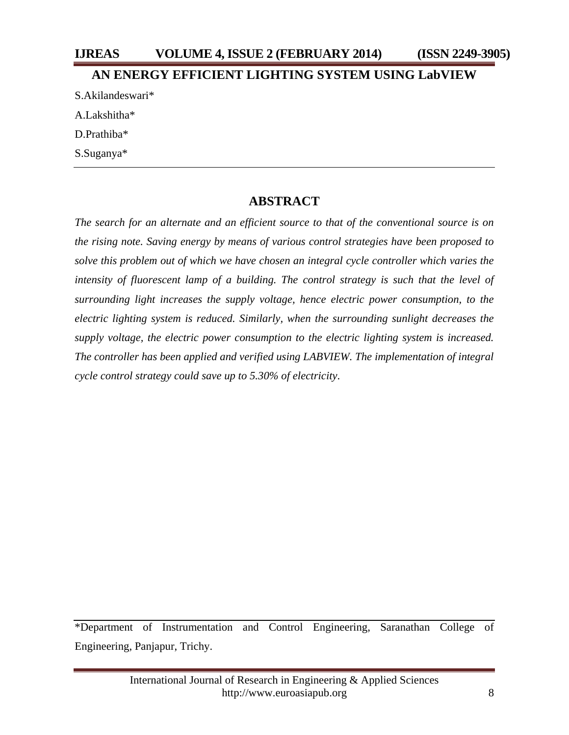### **IJREAS VOLUME 4, ISSUE 2 (FEBRUARY 2014) (ISSN 2249-3905)**

#### **AN ENERGY EFFICIENT LIGHTING SYSTEM USING LabVIEW**

S.Akilandeswari\* A.Lakshitha\* D.Prathiba\*

S.Suganya\*

### **ABSTRACT**

*The search for an alternate and an efficient source to that of the conventional source is on the rising note. Saving energy by means of various control strategies have been proposed to solve this problem out of which we have chosen an integral cycle controller which varies the*  intensity of fluorescent lamp of a building. The control strategy is such that the level of *surrounding light increases the supply voltage, hence electric power consumption, to the electric lighting system is reduced. Similarly, when the surrounding sunlight decreases the supply voltage, the electric power consumption to the electric lighting system is increased. The controller has been applied and verified using LABVIEW. The implementation of integral cycle control strategy could save up to 5.30% of electricity*.

\*Department of Instrumentation and Control Engineering, Saranathan College of Engineering, Panjapur, Trichy.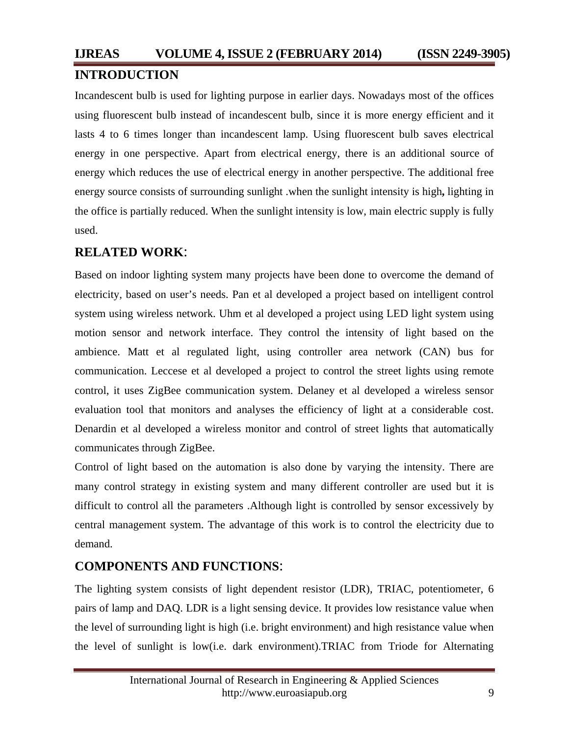Incandescent bulb is used for lighting purpose in earlier days. Nowadays most of the offices using fluorescent bulb instead of incandescent bulb, since it is more energy efficient and it lasts 4 to 6 times longer than incandescent lamp. Using fluorescent bulb saves electrical energy in one perspective. Apart from electrical energy, there is an additional source of energy which reduces the use of electrical energy in another perspective. The additional free energy source consists of surrounding sunlight .when the sunlight intensity is high**,** lighting in the office is partially reduced. When the sunlight intensity is low, main electric supply is fully used.

## **RELATED WORK**:

Based on indoor lighting system many projects have been done to overcome the demand of electricity, based on user's needs. Pan et al developed a project based on intelligent control system using wireless network. Uhm et al developed a project using LED light system using motion sensor and network interface. They control the intensity of light based on the ambience. Matt et al regulated light, using controller area network (CAN) bus for communication. Leccese et al developed a project to control the street lights using remote control, it uses ZigBee communication system. Delaney et al developed a wireless sensor evaluation tool that monitors and analyses the efficiency of light at a considerable cost. Denardin et al developed a wireless monitor and control of street lights that automatically communicates through ZigBee.

Control of light based on the automation is also done by varying the intensity. There are many control strategy in existing system and many different controller are used but it is difficult to control all the parameters .Although light is controlled by sensor excessively by central management system. The advantage of this work is to control the electricity due to demand.

### **COMPONENTS AND FUNCTIONS**:

The lighting system consists of light dependent resistor (LDR), TRIAC, potentiometer, 6 pairs of lamp and DAQ. LDR is a light sensing device. It provides low resistance value when the level of surrounding light is high (i.e. bright environment) and high resistance value when the level of sunlight is low(i.e. dark environment).TRIAC from Triode for Alternating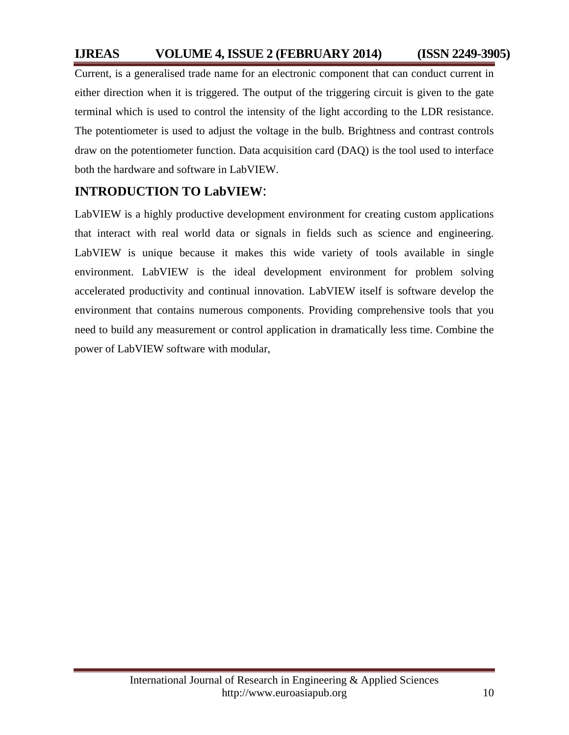# **IJREAS VOLUME 4, ISSUE 2 (FEBRUARY 2014) (ISSN 2249-3905)**

Current, is a generalised trade name for an electronic component that can conduct current in either direction when it is triggered. The output of the triggering circuit is given to the gate terminal which is used to control the intensity of the light according to the LDR resistance. The potentiometer is used to adjust the voltage in the bulb. Brightness and contrast controls draw on the potentiometer function. Data acquisition card (DAQ) is the tool used to interface both the hardware and software in LabVIEW.

## **INTRODUCTION TO LabVIEW**:

LabVIEW is a highly productive development environment for creating custom applications that interact with real world data or signals in fields such as science and engineering. LabVIEW is unique because it makes this wide variety of tools available in single environment. LabVIEW is the ideal development environment for problem solving accelerated productivity and continual innovation. LabVIEW itself is software develop the environment that contains numerous components. Providing comprehensive tools that you need to build any measurement or control application in dramatically less time. Combine the power of LabVIEW software with modular,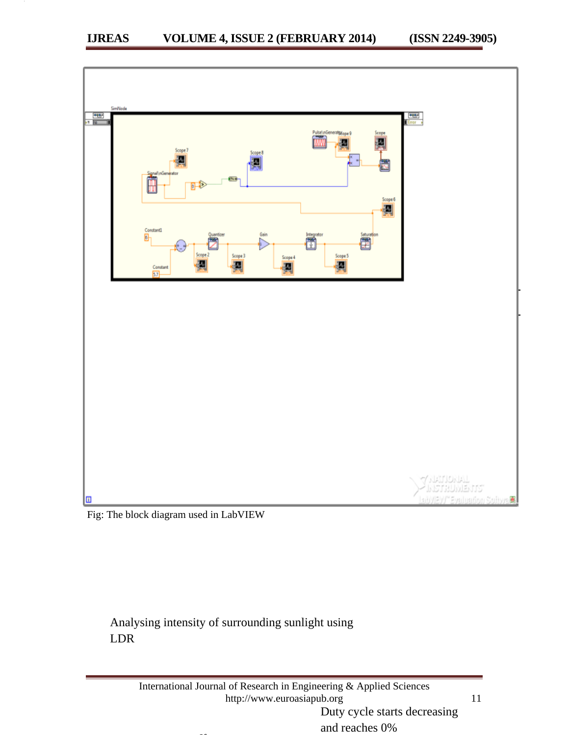

Fig: The block diagram used in LabVIEW

# Analysing intensity of surrounding sunlight using LDR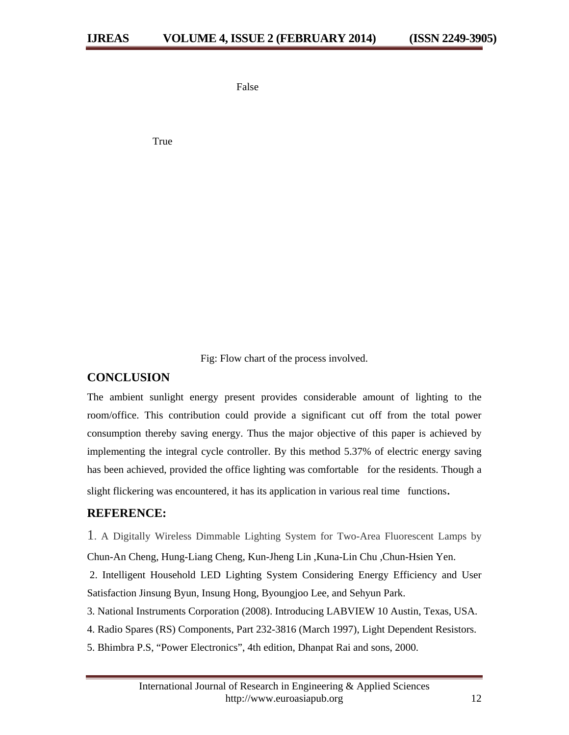False

True

Fig: Flow chart of the process involved.

#### **CONCLUSION**

The ambient sunlight energy present provides considerable amount of lighting to the room/office. This contribution could provide a significant cut off from the total power consumption thereby saving energy. Thus the major objective of this paper is achieved by implementing the integral cycle controller. By this method 5.37% of electric energy saving has been achieved, provided the office lighting was comfortable for the residents. Though a slight flickering was encountered, it has its application in various real time functions.

#### **REFERENCE:**

1. A Digitally Wireless Dimmable Lighting System for Two-Area Fluorescent Lamps by Chun-An Cheng, Hung-Liang Cheng, Kun-Jheng Lin ,Kuna-Lin Chu ,Chun-Hsien Yen.

 2. Intelligent Household LED Lighting System Considering Energy Efficiency and User Satisfaction Jinsung Byun, Insung Hong, Byoungjoo Lee, and Sehyun Park.

3. National Instruments Corporation (2008). Introducing LABVIEW 10 Austin, Texas, USA.

- 4. Radio Spares (RS) Components, Part 232-3816 (March 1997), Light Dependent Resistors.
- 5. Bhimbra P.S, "Power Electronics", 4th edition, Dhanpat Rai and sons, 2000.